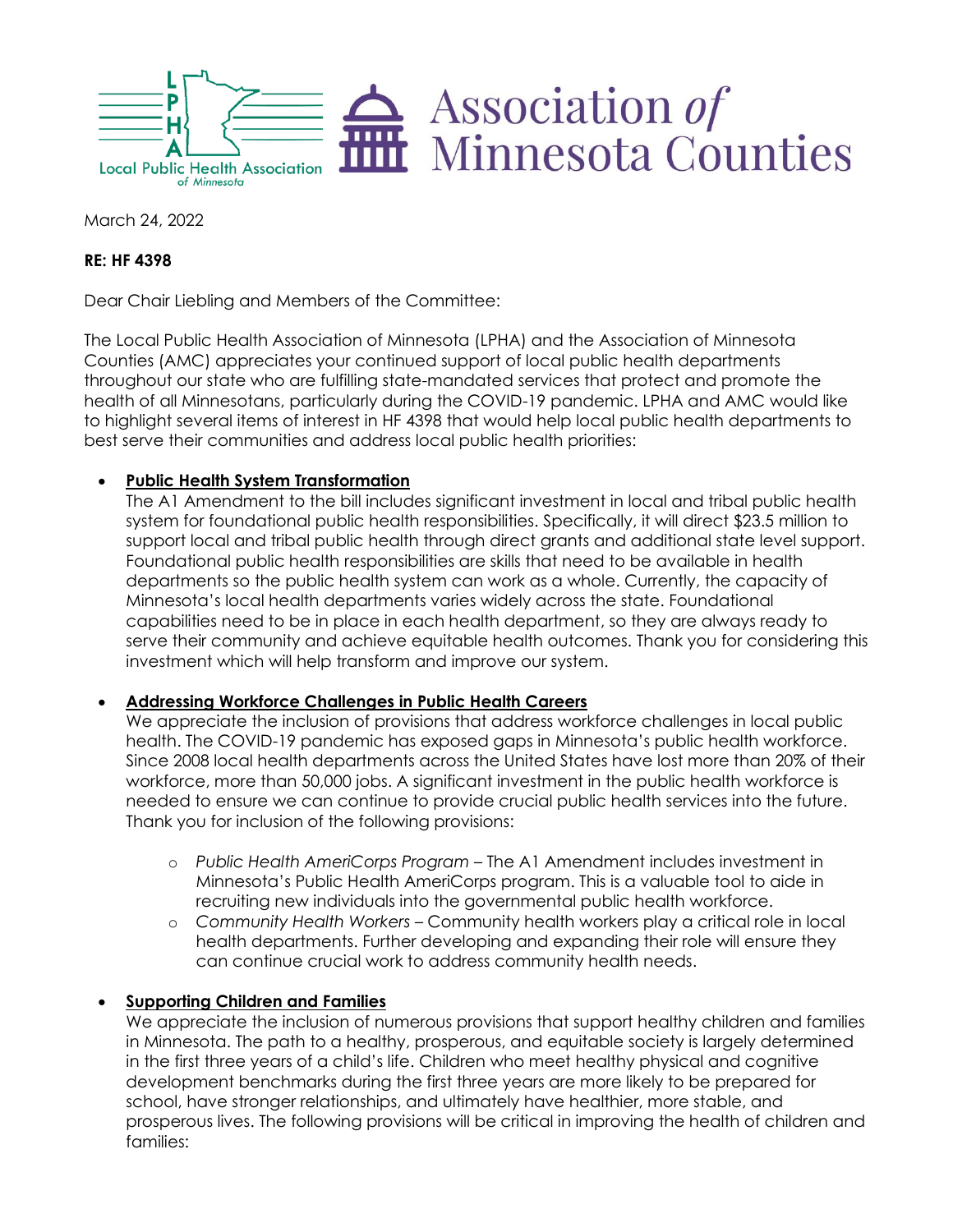

March 24, 2022

# **RE: HF 4398**

Dear Chair Liebling and Members of the Committee:

The Local Public Health Association of Minnesota (LPHA) and the Association of Minnesota Counties (AMC) appreciates your continued support of local public health departments throughout our state who are fulfilling state-mandated services that protect and promote the health of all Minnesotans, particularly during the COVID-19 pandemic. LPHA and AMC would like to highlight several items of interest in HF 4398 that would help local public health departments to best serve their communities and address local public health priorities:

## • **Public Health System Transformation**

The A1 Amendment to the bill includes significant investment in local and tribal public health system for foundational public health responsibilities. Specifically, it will direct \$23.5 million to support local and tribal public health through direct grants and additional state level support. Foundational public health responsibilities are skills that need to be available in health departments so the public health system can work as a whole. Currently, the capacity of Minnesota's local health departments varies widely across the state. Foundational capabilities need to be in place in each health department, so they are always ready to serve their community and achieve equitable health outcomes. Thank you for considering this investment which will help transform and improve our system.

## • **Addressing Workforce Challenges in Public Health Careers**

We appreciate the inclusion of provisions that address workforce challenges in local public health. The COVID-19 pandemic has exposed gaps in Minnesota's public health workforce. Since 2008 local health departments across the United States have lost more than 20% of their workforce, more than 50,000 jobs. A significant investment in the public health workforce is needed to ensure we can continue to provide crucial public health services into the future. Thank you for inclusion of the following provisions:

- o *Public Health AmeriCorps Program* The A1 Amendment includes investment in Minnesota's Public Health AmeriCorps program. This is a valuable tool to aide in recruiting new individuals into the governmental public health workforce.
- o *Community Health Workers* Community health workers play a critical role in local health departments. Further developing and expanding their role will ensure they can continue crucial work to address community health needs.

## • **Supporting Children and Families**

We appreciate the inclusion of numerous provisions that support healthy children and families in Minnesota. The path to a healthy, prosperous, and equitable society is largely determined in the first three years of a child's life. Children who meet healthy physical and cognitive development benchmarks during the first three years are more likely to be prepared for school, have stronger relationships, and ultimately have healthier, more stable, and prosperous lives. The following provisions will be critical in improving the health of children and families: